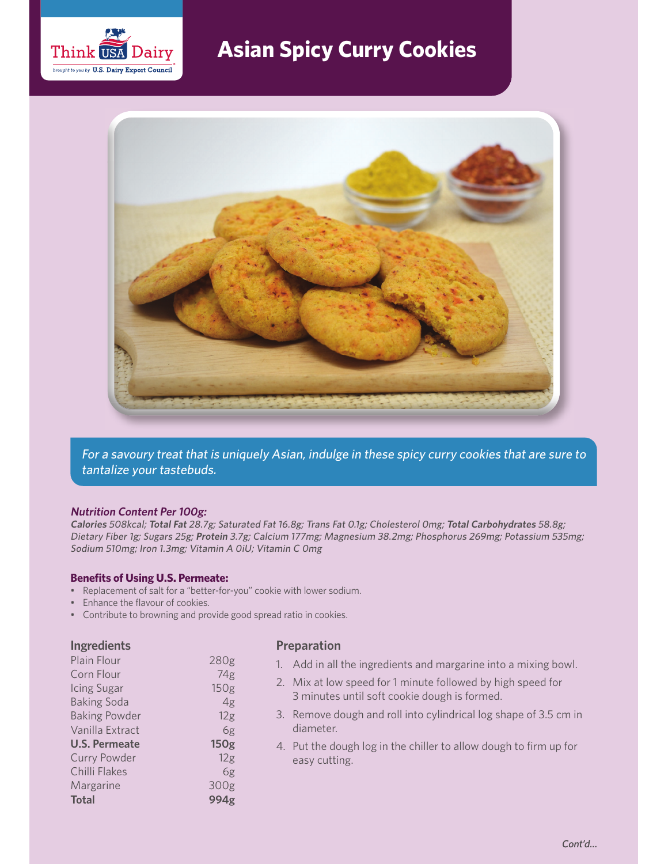

# **Asian Spicy Curry Cookies**



For a savoury treat that is uniquely Asian, indulge in these spicy curry cookies that are sure to tantalize your tastebuds.

### **Nutrition Content Per 100g:**

**Calories** 508kcal; **Total Fat** 28.7g; Saturated Fat 16.8g; Trans Fat 0.1g; Cholesterol 0mg; **Total Carbohydrates** 58.8g; Dietary Fiber 1g; Sugars 25g; **Protein** 3.7g; Calcium 177mg; Magnesium 38.2mg; Phosphorus 269mg; Potassium 535mg; Sodium 510mg; Iron 1.3mg; Vitamin A 0iU; Vitamin C 0mg

- **BEDEFITS OF STAR ITS OF STAR PERITM PROPERTIES: Replacement of salt for a "better-for-you" cookie with lower sodium.**
- Enhance the flavour of cookies.
- Contribute to browning and provide good spread ratio in cookies.

### **Ingredients**

| Plain Flour          | 280g             |
|----------------------|------------------|
| Corn Flour           | 74g              |
| Icing Sugar          | 150g             |
| <b>Baking Soda</b>   | 4g               |
| <b>Baking Powder</b> | 12g              |
| Vanilla Extract      | 6g               |
| <b>U.S. Permeate</b> | 150 <sub>g</sub> |
| <b>Curry Powder</b>  | 12g              |
| Chilli Flakes        | 6g               |
| Margarine            | 300g             |
| <b>Total</b>         | 994g             |

### **Preparation**

- 1. Add in all the ingredients and margarine into a mixing bowl.
- 2. Mix at low speed for 1 minute followed by high speed for 3 minutes until soft cookie dough is formed.
- 3. Remove dough and roll into cylindrical log shape of 3.5 cm in diameter.
- 4. Put the dough log in the chiller to allow dough to firm up for easy cutting.